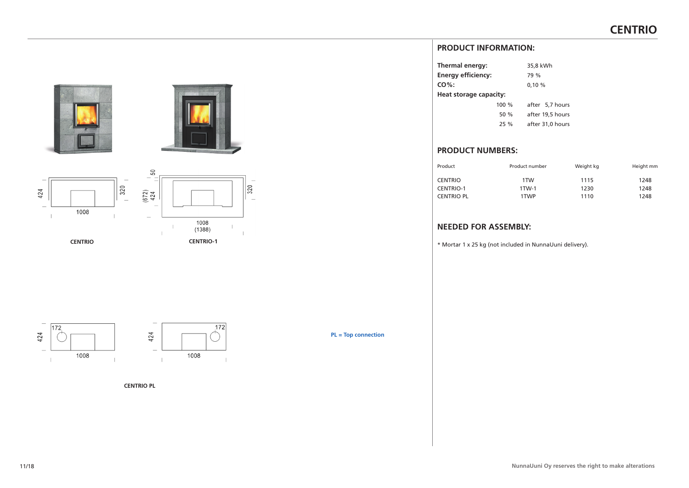# **PRODUCT INFORMATION:**

| Thermal energy:           |       | 35,8 kWh         |
|---------------------------|-------|------------------|
| <b>Energy efficiency:</b> |       | 79 %             |
| $CO%$ :                   |       | 0,10%            |
| Heat storage capacity:    |       |                  |
|                           | 100 % | after 5,7 hours  |
|                           | 50 %  | after 19,5 hours |
|                           | 25%   | after 31,0 hours |
|                           |       |                  |

# **PRODUCT NUMBERS:**

| Product           | Product number | Weight kg | Height mm |
|-------------------|----------------|-----------|-----------|
| <b>CENTRIO</b>    | 1TW            | 1115      | 1248      |
| <b>CENTRIO-1</b>  | 1TW-1          | 1230      | 1248      |
| <b>CENTRIO PL</b> | 1TWP           | 1110      | 1248      |

# **NEEDED FOR ASSEMBLY:**

\* Mortar 1 x 25 kg (not included in NunnaUuni delivery).





 $\overline{320}$ 





**CENTRIO PL**

**PL = Top connection**